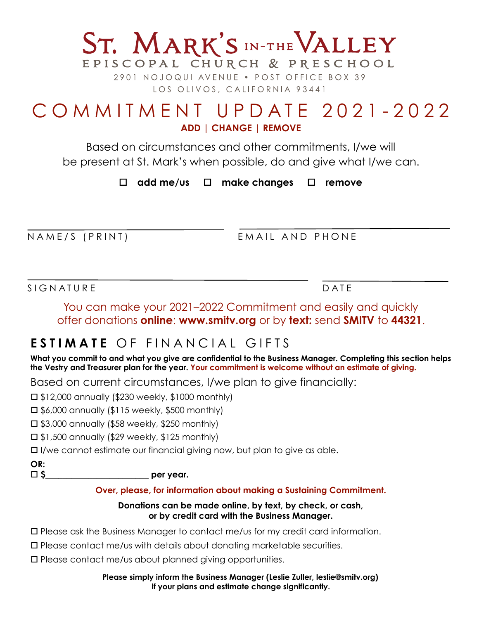# COMMITMENT UPDATE 2021-2022 **ADD | CHANGE | REMOVE**

ST. MARK'S IN-THE VALLEY

EPISCOPAL CHURCH & PRESCHOOL 2901 NOJOQUI AVENUE . POST OFFICE BOX 39 LOS OLIVOS, CALIFORNIA 93441

Based on circumstances and other commitments, I/we will be present at St. Mark's when possible, do and give what I/we can.

! **add me/us** ! **make changes** ! **remove**

NAME/S (PRINT)

EMAIL AND PHONE

SIGNATURE DATE

You can make your 2021–2022 Commitment and easily and quickly offer donations **online**: **www.smitv.org** or by **text:** send **SMITV** to **44321**.

## **ESTIMATE** OF FINANCIAL GIFTS

**What you commit to and what you give are confidential to the Business Manager. Completing this section helps the Vestry and Treasurer plan for the year. Your commitment is welcome without an estimate of giving.** 

Based on current circumstances, I/we plan to give financially:

 $\Box$  \$12,000 annually (\$230 weekly, \$1000 monthly)

 $\Box$  \$6,000 annually (\$115 weekly, \$500 monthly)

 $\Box$  \$3,000 annually (\$58 weekly, \$250 monthly)

 $\Box$  \$1,500 annually (\$29 weekly, \$125 monthly)

 $\Box$  I/we cannot estimate our financial giving now, but plan to give as able.

**OR:**

! **\$\_\_\_\_\_\_\_\_\_\_\_\_\_\_\_\_\_\_\_\_\_\_\_\_ per year.** 

#### **Over, please, for information about making a Sustaining Commitment.**

#### **Donations can be made online, by text, by check, or cash, or by credit card with the Business Manager.**

! Please ask the Business Manager to contact me/us for my credit card information.

 $\Box$  Please contact me/us with details about donating marketable securities.

□ Please contact me/us about planned giving opportunities.

#### **Please simply inform the Business Manager (Leslie Zuller, leslie@smitv.org) if your plans and estimate change significantly.**